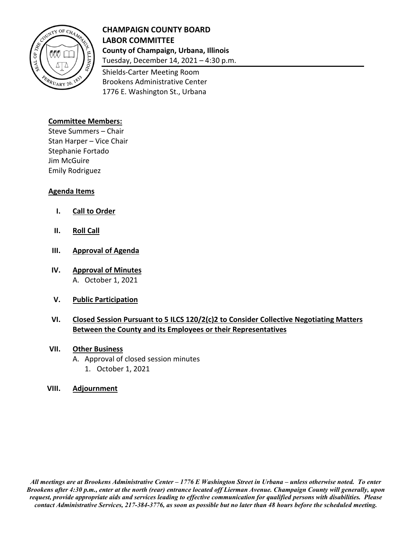

## **CHAMPAIGN COUNTY BOARD LABOR COMMITTEE County of Champaign, Urbana, Illinois**

Tuesday, December 14, 2021 – 4:30 p.m. Shields-Carter Meeting Room

Brookens Administrative Center 1776 E. Washington St., Urbana

#### **Committee Members:**

Steve Summers – Chair Stan Harper – Vice Chair Stephanie Fortado Jim McGuire Emily Rodriguez

#### **Agenda Items**

- **I. Call to Order**
- **II. Roll Call**
- **III. Approval of Agenda**
- **IV. Approval of Minutes** A. October 1, 2021
- **V. Public Participation**

### **VI. Closed Session Pursuant to 5 ILCS 120/2(c)2 to Consider Collective Negotiating Matters Between the County and its Employees or their Representatives**

#### **VII. Other Business**

- A. Approval of closed session minutes
	- 1. October 1, 2021

#### **VIII. Adjournment**

*All meetings are at Brookens Administrative Center – 1776 E Washington Street in Urbana – unless otherwise noted. To enter Brookens after 4:30 p.m., enter at the north (rear) entrance located off Lierman Avenue. Champaign County will generally, upon request, provide appropriate aids and services leading to effective communication for qualified persons with disabilities. Please contact Administrative Services, 217-384-3776, as soon as possible but no later than 48 hours before the scheduled meeting.*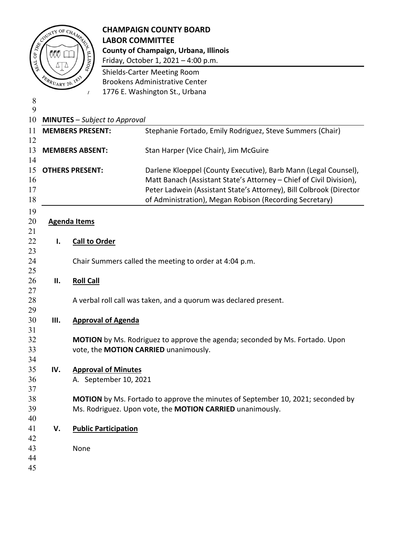

# CHAMPAIGN COUNTY BOARD<br>
EXAMPAIGN COUNTY BOARD<br>
EXAMPAIGN COUNTY BOARD<br>
EXAMPAIGN COUNTY BOARD<br>
COUNTY BOARD<br>
COUNTY BOARD<br>
COUNTY BOARD<br>
COUNTY BOARD<br>
COUNTY BOARD<br>
COUNTY BOARD<br>
COUNTY BOARD<br>
COUNTY BOARD<br>
COUNTY BOARD<br> **LABOR COMMITTEE County of Champaign, Urbana, Illinois**

 Friday, October 1, 2021 – 4:00 p.m. Shields-Carter Meeting Room Brookens Administrative Center

1776 E. Washington St., Urbana

| 8        |                                      |                             |                                                                                     |
|----------|--------------------------------------|-----------------------------|-------------------------------------------------------------------------------------|
| 9        |                                      |                             |                                                                                     |
| 10       | <b>MINUTES</b> - Subject to Approval |                             |                                                                                     |
| 11       |                                      | <b>MEMBERS PRESENT:</b>     | Stephanie Fortado, Emily Rodriguez, Steve Summers (Chair)                           |
| 12<br>13 |                                      | <b>MEMBERS ABSENT:</b>      |                                                                                     |
| 14       |                                      |                             | Stan Harper (Vice Chair), Jim McGuire                                               |
| 15       |                                      | <b>OTHERS PRESENT:</b>      | Darlene Kloeppel (County Executive), Barb Mann (Legal Counsel),                     |
| 16       |                                      |                             | Matt Banach (Assistant State's Attorney - Chief of Civil Division),                 |
| 17       |                                      |                             | Peter Ladwein (Assistant State's Attorney), Bill Colbrook (Director                 |
| 18       |                                      |                             | of Administration), Megan Robison (Recording Secretary)                             |
| 19       |                                      |                             |                                                                                     |
| 20       |                                      | <b>Agenda Items</b>         |                                                                                     |
| 21       |                                      |                             |                                                                                     |
| 22       | ı.                                   | <b>Call to Order</b>        |                                                                                     |
| 23       |                                      |                             |                                                                                     |
| 24       |                                      |                             | Chair Summers called the meeting to order at 4:04 p.m.                              |
| 25       |                                      |                             |                                                                                     |
| 26       | П.                                   | <b>Roll Call</b>            |                                                                                     |
| 27       |                                      |                             |                                                                                     |
| 28       |                                      |                             | A verbal roll call was taken, and a quorum was declared present.                    |
| 29       |                                      |                             |                                                                                     |
| 30       | Ш.                                   | <b>Approval of Agenda</b>   |                                                                                     |
| 31       |                                      |                             |                                                                                     |
| 32       |                                      |                             | <b>MOTION</b> by Ms. Rodriguez to approve the agenda; seconded by Ms. Fortado. Upon |
| 33       |                                      |                             | vote, the MOTION CARRIED unanimously.                                               |
| 34       |                                      |                             |                                                                                     |
| 35       | IV.                                  | <b>Approval of Minutes</b>  |                                                                                     |
| 36<br>37 |                                      | A. September 10, 2021       |                                                                                     |
| 38       |                                      |                             | MOTION by Ms. Fortado to approve the minutes of September 10, 2021; seconded by     |
| 39       |                                      |                             | Ms. Rodriguez. Upon vote, the MOTION CARRIED unanimously.                           |
| 40       |                                      |                             |                                                                                     |
| 41       | V.                                   | <b>Public Participation</b> |                                                                                     |
| 42       |                                      |                             |                                                                                     |
| 43       |                                      | None                        |                                                                                     |
| 44       |                                      |                             |                                                                                     |
| 45       |                                      |                             |                                                                                     |
|          |                                      |                             |                                                                                     |